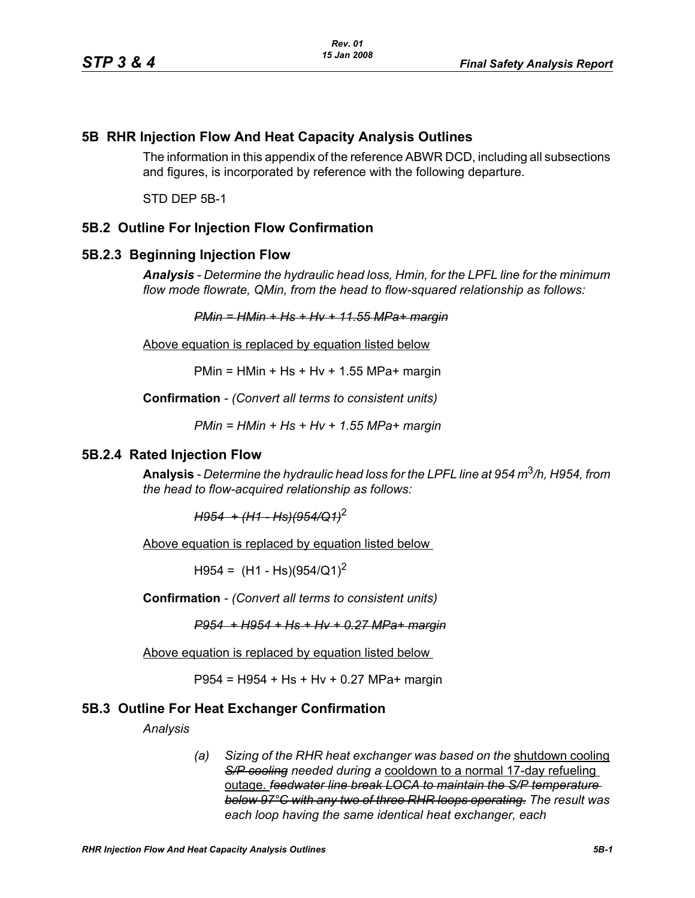# **5B RHR Injection Flow And Heat Capacity Analysis Outlines**

The information in this appendix of the reference ABWR DCD, including all subsections and figures, is incorporated by reference with the following departure.

STD DEP 5B-1

# **5B.2 Outline For Injection Flow Confirmation**

### **5B.2.3 Beginning Injection Flow**

*Analysis - Determine the hydraulic head loss, Hmin, for the LPFL line for the minimum flow mode flowrate, QMin, from the head to flow-squared relationship as follows:*

*PMin = HMin + Hs + Hv + 11.55 MPa+ margin*

Above equation is replaced by equation listed below

 $PMin = HMin + Hs + Hv + 1.55 MPa + margin$ 

**Confirmation** *- (Convert all terms to consistent units)*

*PMin = HMin + Hs + Hv + 1.55 MPa+ margin*

#### **5B.2.4 Rated Injection Flow**

**Analysis** *- Determine the hydraulic head loss for the LPFL line at 954 m*3*/h, H954, from the head to flow-acquired relationship as follows:*

*H954 + (H1 - Hs)(954/Q1)*<sup>2</sup>

Above equation is replaced by equation listed below

 $H954 = (H1 - Hs)(954/Q1)^2$ 

**Confirmation** *- (Convert all terms to consistent units)*

*P954 + H954 + Hs + Hv + 0.27 MPa+ margin*

Above equation is replaced by equation listed below

P954 = H954 + Hs + Hv + 0.27 MPa+ margin

### **5B.3 Outline For Heat Exchanger Confirmation**

*Analysis*

*(a) Sizing of the RHR heat exchanger was based on the* shutdown cooling *S/P cooling needed during a* cooldown to a normal 17-day refueling outage. *feedwater line break LOCA to maintain the S/P temperature below 97°C with any two of three RHR loops operating. The result was each loop having the same identical heat exchanger, each*